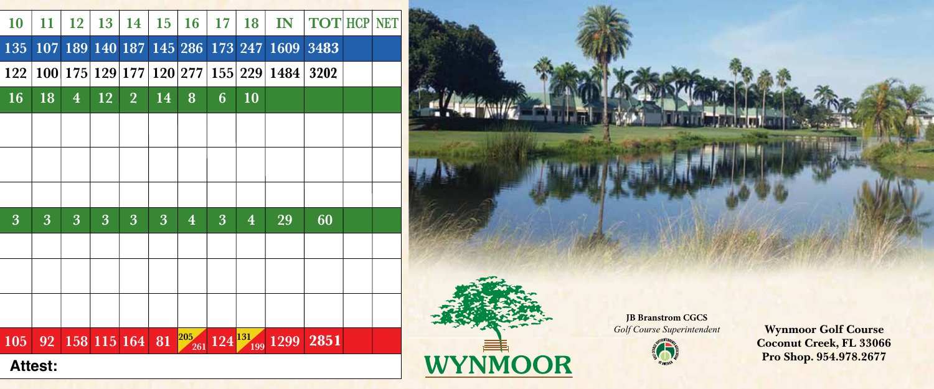| 10             | 11  | 12                      | 13          | 14             | 15 | 16             | 17          | 18             | IN   | <b>TOT HCP</b> |  | <b>NET</b> |
|----------------|-----|-------------------------|-------------|----------------|----|----------------|-------------|----------------|------|----------------|--|------------|
| 135            | 107 | 189                     |             | 140 187        |    | 145 286        |             | 173 247        | 1609 | 3483           |  |            |
| 122            | 100 | 175                     |             | 129 177        |    | 120 277        | 155         | 229            | 1484 | 3202           |  |            |
| <b>16</b>      | 18  | $\overline{\mathbf{4}}$ | 12          | $\overline{2}$ | 14 | 8              | 6           | 10             |      |                |  |            |
|                |     |                         |             |                |    |                |             |                |      |                |  |            |
|                |     |                         |             |                |    |                |             |                |      |                |  |            |
|                |     |                         |             |                |    |                |             |                |      |                |  |            |
| 3              | 3   | 3                       | 3           | 3              | 3  | $\overline{4}$ | 3           | $\overline{4}$ | 29   | 60             |  |            |
|                |     |                         |             |                |    |                |             |                |      |                |  |            |
|                |     |                         |             |                |    |                |             |                |      |                |  |            |
|                |     |                         |             |                |    |                |             |                |      |                |  |            |
| 105            | 92  |                         | 158 115 164 |                | 81 | 205<br>261     | $124^{131}$ | 199            | 1299 | 2851           |  |            |
| <b>Attest:</b> |     |                         |             |                |    |                |             |                |      |                |  |            |